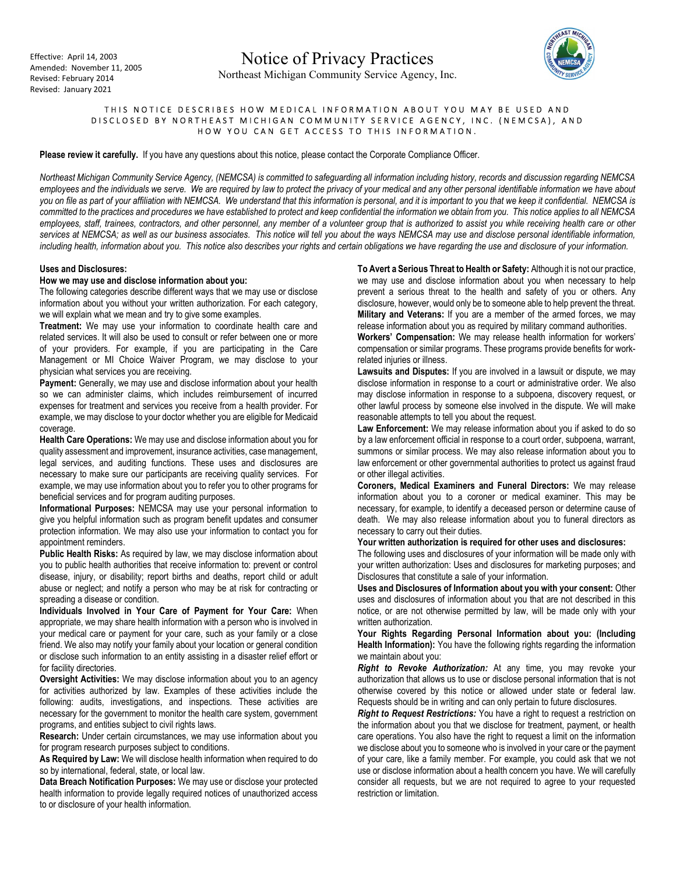

# THIS NOTICE DESCRIBES HOW MEDICAL INFORMATION ABOUT YOU MAY BE USED AND DISCLOSED BY NORTHEAST MICHIGAN COMMUNITY SERVICE AGENCY, INC. (NEMCSA), AND HOW YOU CAN GET ACCESS TO THIS INFORMATION.

Please review it carefully. If you have any questions about this notice, please contact the Corporate Compliance Officer.

Northeast Michigan Community Service Agency, (NEMCSA) is committed to safeguarding all information including history, records and discussion regarding NEMCSA employees and the individuals we serve. We are required by law to protect the privacy of your medical and any other personal identifiable information we have about you on file as part of your affiliation with NEMCSA. We understand that this information is personal, and it is important to you that we keep it confidential. NEMCSA is committed to the practices and procedures we have established to protect and keep confidential the information we obtain from you. This notice applies to all NEMCSA employees, staff, trainees, contractors, and other personnel, any member of a volunteer group that is authorized to assist you while receiving health care or other services at NEMCSA; as well as our business associates. This notice will tell you about the ways NEMCSA may use and disclose personal identifiable information, including health, information about you. This notice also describes your rights and certain obligations we have regarding the use and disclosure of your information.

#### Uses and Disclosures:

### How we may use and disclose information about you:

The following categories describe different ways that we may use or disclose information about you without your written authorization. For each category, we will explain what we mean and try to give some examples.

Treatment: We may use your information to coordinate health care and related services. It will also be used to consult or refer between one or more of your providers. For example, if you are participating in the Care Management or MI Choice Waiver Program, we may disclose to your physician what services you are receiving.

Payment: Generally, we may use and disclose information about your health so we can administer claims, which includes reimbursement of incurred expenses for treatment and services you receive from a health provider. For example, we may disclose to your doctor whether you are eligible for Medicaid coverage.

Health Care Operations: We may use and disclose information about you for quality assessment and improvement, insurance activities, case management, legal services, and auditing functions. These uses and disclosures are necessary to make sure our participants are receiving quality services. For example, we may use information about you to refer you to other programs for beneficial services and for program auditing purposes.

Informational Purposes: NEMCSA may use your personal information to give you helpful information such as program benefit updates and consumer protection information. We may also use your information to contact you for appointment reminders.

Public Health Risks: As required by law, we may disclose information about you to public health authorities that receive information to: prevent or control disease, injury, or disability; report births and deaths, report child or adult abuse or neglect; and notify a person who may be at risk for contracting or spreading a disease or condition.

Individuals Involved in Your Care of Payment for Your Care: When appropriate, we may share health information with a person who is involved in your medical care or payment for your care, such as your family or a close friend. We also may notify your family about your location or general condition or disclose such information to an entity assisting in a disaster relief effort or for facility directories.

Oversight Activities: We may disclose information about you to an agency for activities authorized by law. Examples of these activities include the following: audits, investigations, and inspections. These activities are necessary for the government to monitor the health care system, government programs, and entities subject to civil rights laws.

Research: Under certain circumstances, we may use information about you for program research purposes subject to conditions.

As Required by Law: We will disclose health information when required to do so by international, federal, state, or local law.

Data Breach Notification Purposes: We may use or disclose your protected health information to provide legally required notices of unauthorized access to or disclosure of your health information.

To Avert a Serious Threat to Health or Safety: Although it is not our practice, we may use and disclose information about you when necessary to help prevent a serious threat to the health and safety of you or others. Any disclosure, however, would only be to someone able to help prevent the threat. Military and Veterans: If you are a member of the armed forces, we may release information about you as required by military command authorities.

Workers' Compensation: We may release health information for workers' compensation or similar programs. These programs provide benefits for workrelated injuries or illness.

Lawsuits and Disputes: If you are involved in a lawsuit or dispute, we may disclose information in response to a court or administrative order. We also may disclose information in response to a subpoena, discovery request, or other lawful process by someone else involved in the dispute. We will make reasonable attempts to tell you about the request.

Law Enforcement: We may release information about you if asked to do so by a law enforcement official in response to a court order, subpoena, warrant, summons or similar process. We may also release information about you to law enforcement or other governmental authorities to protect us against fraud or other illegal activities.

Coroners, Medical Examiners and Funeral Directors: We may release information about you to a coroner or medical examiner. This may be necessary, for example, to identify a deceased person or determine cause of death. We may also release information about you to funeral directors as necessary to carry out their duties.

### Your written authorization is required for other uses and disclosures:

The following uses and disclosures of your information will be made only with your written authorization: Uses and disclosures for marketing purposes; and Disclosures that constitute a sale of your information.

Uses and Disclosures of Information about you with your consent: Other uses and disclosures of information about you that are not described in this notice, or are not otherwise permitted by law, will be made only with your written authorization.

Your Rights Regarding Personal Information about you: (Including Health Information): You have the following rights regarding the information we maintain about you:

Right to Revoke Authorization: At any time, you may revoke your authorization that allows us to use or disclose personal information that is not otherwise covered by this notice or allowed under state or federal law. Requests should be in writing and can only pertain to future disclosures.

**Right to Request Restrictions:** You have a right to request a restriction on the information about you that we disclose for treatment, payment, or health care operations. You also have the right to request a limit on the information we disclose about you to someone who is involved in your care or the payment of your care, like a family member. For example, you could ask that we not use or disclose information about a health concern you have. We will carefully consider all requests, but we are not required to agree to your requested restriction or limitation.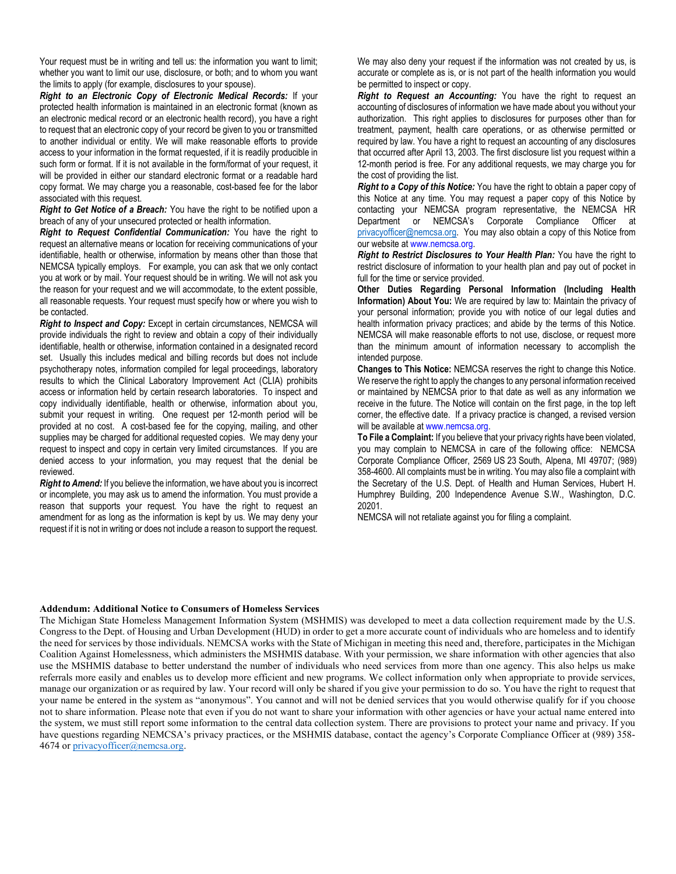Your request must be in writing and tell us: the information you want to limit; whether you want to limit our use, disclosure, or both; and to whom you want the limits to apply (for example, disclosures to your spouse).

Right to an Electronic Copy of Electronic Medical Records: If your protected health information is maintained in an electronic format (known as an electronic medical record or an electronic health record), you have a right to request that an electronic copy of your record be given to you or transmitted to another individual or entity. We will make reasonable efforts to provide access to your information in the format requested, if it is readily producible in such form or format. If it is not available in the form/format of your request, it will be provided in either our standard electronic format or a readable hard copy format. We may charge you a reasonable, cost-based fee for the labor associated with this request.

**Right to Get Notice of a Breach:** You have the right to be notified upon a breach of any of your unsecured protected or health information.

Right to Request Confidential Communication: You have the right to request an alternative means or location for receiving communications of your identifiable, health or otherwise, information by means other than those that NEMCSA typically employs. For example, you can ask that we only contact you at work or by mail. Your request should be in writing. We will not ask you the reason for your request and we will accommodate, to the extent possible, all reasonable requests. Your request must specify how or where you wish to be contacted.

Right to Inspect and Copy: Except in certain circumstances, NEMCSA will provide individuals the right to review and obtain a copy of their individually identifiable, health or otherwise, information contained in a designated record set. Usually this includes medical and billing records but does not include psychotherapy notes, information compiled for legal proceedings, laboratory results to which the Clinical Laboratory Improvement Act (CLIA) prohibits access or information held by certain research laboratories. To inspect and copy individually identifiable, health or otherwise, information about you, submit your request in writing. One request per 12-month period will be provided at no cost. A cost-based fee for the copying, mailing, and other supplies may be charged for additional requested copies. We may deny your request to inspect and copy in certain very limited circumstances. If you are denied access to your information, you may request that the denial be reviewed.

**Right to Amend:** If you believe the information, we have about you is incorrect or incomplete, you may ask us to amend the information. You must provide a reason that supports your request. You have the right to request an amendment for as long as the information is kept by us. We may deny your request if it is not in writing or does not include a reason to support the request.

We may also deny your request if the information was not created by us, is accurate or complete as is, or is not part of the health information you would be permitted to inspect or copy.

Right to Request an Accounting: You have the right to request an accounting of disclosures of information we have made about you without your authorization. This right applies to disclosures for purposes other than for treatment, payment, health care operations, or as otherwise permitted or required by law. You have a right to request an accounting of any disclosures that occurred after April 13, 2003. The first disclosure list you request within a 12-month period is free. For any additional requests, we may charge you for the cost of providing the list.

Right to a Copy of this Notice: You have the right to obtain a paper copy of this Notice at any time. You may request a paper copy of this Notice by contacting your NEMCSA program representative, the NEMCSA HR Department or NEMCSA's Corporate Compliance Officer at privacyofficer@nemcsa.org. You may also obtain a copy of this Notice from our website at www.nemcsa.org.

Right to Restrict Disclosures to Your Health Plan: You have the right to restrict disclosure of information to your health plan and pay out of pocket in full for the time or service provided.

Other Duties Regarding Personal Information (Including Health Information) About You: We are required by law to: Maintain the privacy of your personal information; provide you with notice of our legal duties and health information privacy practices; and abide by the terms of this Notice. NEMCSA will make reasonable efforts to not use, disclose, or request more than the minimum amount of information necessary to accomplish the intended purpose.

Changes to This Notice: NEMCSA reserves the right to change this Notice. We reserve the right to apply the changes to any personal information received or maintained by NEMCSA prior to that date as well as any information we receive in the future. The Notice will contain on the first page, in the top left corner, the effective date. If a privacy practice is changed, a revised version will be available at www.nemcsa.org.

To File a Complaint: If you believe that your privacy rights have been violated, you may complain to NEMCSA in care of the following office: NEMCSA Corporate Compliance Officer, 2569 US 23 South, Alpena, MI 49707; (989) 358-4600. All complaints must be in writing. You may also file a complaint with the Secretary of the U.S. Dept. of Health and Human Services, Hubert H. Humphrey Building, 200 Independence Avenue S.W., Washington, D.C. 20201.

NEMCSA will not retaliate against you for filing a complaint.

#### Addendum: Additional Notice to Consumers of Homeless Services

The Michigan State Homeless Management Information System (MSHMIS) was developed to meet a data collection requirement made by the U.S. Congress to the Dept. of Housing and Urban Development (HUD) in order to get a more accurate count of individuals who are homeless and to identify the need for services by those individuals. NEMCSA works with the State of Michigan in meeting this need and, therefore, participates in the Michigan Coalition Against Homelessness, which administers the MSHMIS database. With your permission, we share information with other agencies that also use the MSHMIS database to better understand the number of individuals who need services from more than one agency. This also helps us make referrals more easily and enables us to develop more efficient and new programs. We collect information only when appropriate to provide services, manage our organization or as required by law. Your record will only be shared if you give your permission to do so. You have the right to request that your name be entered in the system as "anonymous". You cannot and will not be denied services that you would otherwise qualify for if you choose not to share information. Please note that even if you do not want to share your information with other agencies or have your actual name entered into the system, we must still report some information to the central data collection system. There are provisions to protect your name and privacy. If you have questions regarding NEMCSA's privacy practices, or the MSHMIS database, contact the agency's Corporate Compliance Officer at (989) 358-4674 or privacyofficer@nemcsa.org.